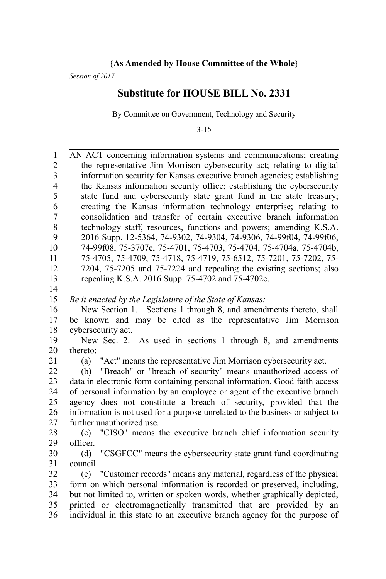*Session of 2017*

## **Substitute for HOUSE BILL No. 2331**

By Committee on Government, Technology and Security

3-15

AN ACT concerning information systems and communications; creating the representative Jim Morrison cybersecurity act; relating to digital information security for Kansas executive branch agencies; establishing the Kansas information security office; establishing the cybersecurity state fund and cybersecurity state grant fund in the state treasury; creating the Kansas information technology enterprise; relating to consolidation and transfer of certain executive branch information technology staff, resources, functions and powers; amending K.S.A. 2016 Supp. 12-5364, 74-9302, 74-9304, 74-9306, 74-99f04, 74-99f06, 74-99f08, 75-3707e, 75-4701, 75-4703, 75-4704, 75-4704a, 75-4704b, 75-4705, 75-4709, 75-4718, 75-4719, 75-6512, 75-7201, 75-7202, 75- 7204, 75-7205 and 75-7224 and repealing the existing sections; also repealing K.S.A. 2016 Supp. 75-4702 and 75-4702c. *Be it enacted by the Legislature of the State of Kansas:* New Section 1. Sections 1 through 8, and amendments thereto, shall be known and may be cited as the representative Jim Morrison cybersecurity act. New Sec. 2. As used in sections 1 through 8, and amendments thereto: (a) "Act" means the representative Jim Morrison cybersecurity act. (b) "Breach" or "breach of security" means unauthorized access of data in electronic form containing personal information. Good faith access of personal information by an employee or agent of the executive branch agency does not constitute a breach of security, provided that the information is not used for a purpose unrelated to the business or subject to further unauthorized use. (c) "CISO" means the executive branch chief information security officer. (d) "CSGFCC" means the cybersecurity state grant fund coordinating council. (e) "Customer records" means any material, regardless of the physical form on which personal information is recorded or preserved, including, but not limited to, written or spoken words, whether graphically depicted, printed or electromagnetically transmitted that are provided by an individual in this state to an executive branch agency for the purpose of 1 2 3 4 5 6 7 8 9 10 11 12 13 14 15 16 17 18 19 20 21 22 23 24 25 26 27 28 29 30 31 32 33 34 35 36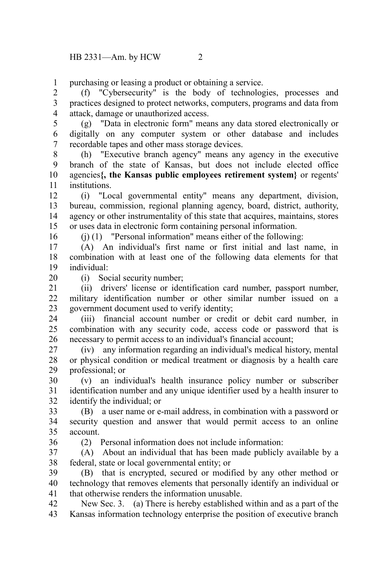purchasing or leasing a product or obtaining a service. 1

(f) "Cybersecurity" is the body of technologies, processes and practices designed to protect networks, computers, programs and data from attack, damage or unauthorized access. 2 3 4

(g) "Data in electronic form" means any data stored electronically or digitally on any computer system or other database and includes recordable tapes and other mass storage devices. 5 6 7

(h) "Executive branch agency" means any agency in the executive branch of the state of Kansas, but does not include elected office agencies**{, the Kansas public employees retirement system}** or regents' institutions. 8 9 10 11

(i) "Local governmental entity" means any department, division, bureau, commission, regional planning agency, board, district, authority, agency or other instrumentality of this state that acquires, maintains, stores or uses data in electronic form containing personal information. 12 13 14 15

16

(j) (1) "Personal information" means either of the following:

(A) An individual's first name or first initial and last name, in combination with at least one of the following data elements for that individual: 17 18 19

20

(i) Social security number;

(ii) drivers' license or identification card number, passport number, military identification number or other similar number issued on a government document used to verify identity; 21 22 23

(iii) financial account number or credit or debit card number, in combination with any security code, access code or password that is necessary to permit access to an individual's financial account; 24  $25$ 26

(iv) any information regarding an individual's medical history, mental or physical condition or medical treatment or diagnosis by a health care professional; or 27 28 29

(v) an individual's health insurance policy number or subscriber identification number and any unique identifier used by a health insurer to identify the individual; or 30 31 32

(B) a user name or e-mail address, in combination with a password or security question and answer that would permit access to an online account. 33 34 35

36

(2) Personal information does not include information:

(A) About an individual that has been made publicly available by a federal, state or local governmental entity; or 37 38

(B) that is encrypted, secured or modified by any other method or technology that removes elements that personally identify an individual or that otherwise renders the information unusable. 39 40 41

New Sec. 3. (a) There is hereby established within and as a part of the Kansas information technology enterprise the position of executive branch 42 43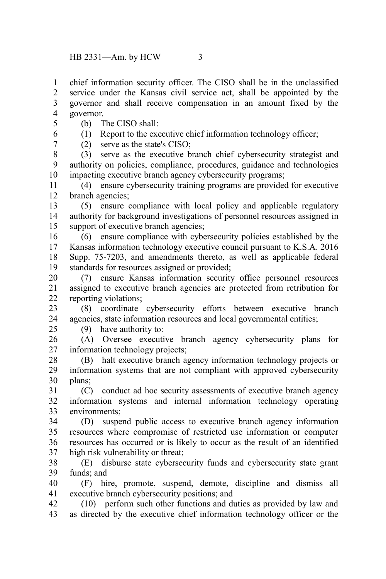chief information security officer. The CISO shall be in the unclassified service under the Kansas civil service act, shall be appointed by the governor and shall receive compensation in an amount fixed by the governor. 1  $\mathcal{L}$ 3 4

(b) The CISO shall: 5

6 7

25

(1) Report to the executive chief information technology officer;

(2) serve as the state's CISO;

(3) serve as the executive branch chief cybersecurity strategist and authority on policies, compliance, procedures, guidance and technologies impacting executive branch agency cybersecurity programs; 8 9 10

(4) ensure cybersecurity training programs are provided for executive branch agencies; 11 12

(5) ensure compliance with local policy and applicable regulatory authority for background investigations of personnel resources assigned in support of executive branch agencies; 13 14 15

(6) ensure compliance with cybersecurity policies established by the Kansas information technology executive council pursuant to K.S.A. 2016 Supp. 75-7203, and amendments thereto, as well as applicable federal standards for resources assigned or provided; 16 17 18 19

(7) ensure Kansas information security office personnel resources assigned to executive branch agencies are protected from retribution for reporting violations; 20 21 22

(8) coordinate cybersecurity efforts between executive branch agencies, state information resources and local governmental entities; 23 24

(9) have authority to:

(A) Oversee executive branch agency cybersecurity plans for information technology projects; 26 27

(B) halt executive branch agency information technology projects or information systems that are not compliant with approved cybersecurity plans; 28 29 30

(C) conduct ad hoc security assessments of executive branch agency information systems and internal information technology operating environments; 31 32 33

(D) suspend public access to executive branch agency information resources where compromise of restricted use information or computer resources has occurred or is likely to occur as the result of an identified high risk vulnerability or threat; 34 35 36 37

(E) disburse state cybersecurity funds and cybersecurity state grant funds; and 38 39

(F) hire, promote, suspend, demote, discipline and dismiss all executive branch cybersecurity positions; and 40 41

(10) perform such other functions and duties as provided by law and as directed by the executive chief information technology officer or the 42 43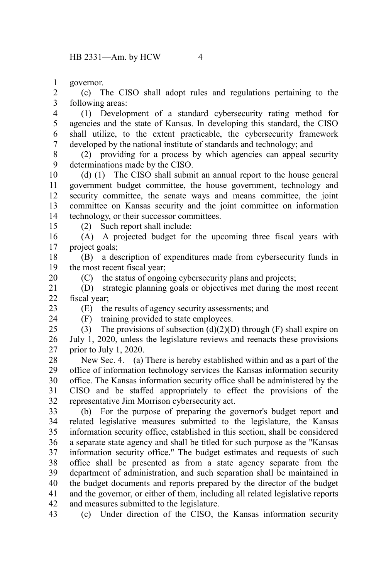governor. 1

(c) The CISO shall adopt rules and regulations pertaining to the following areas: 2 3

(1) Development of a standard cybersecurity rating method for agencies and the state of Kansas. In developing this standard, the CISO shall utilize, to the extent practicable, the cybersecurity framework developed by the national institute of standards and technology; and 4 5 6 7

(2) providing for a process by which agencies can appeal security determinations made by the CISO. 8 9

(d) (1) The CISO shall submit an annual report to the house general government budget committee, the house government, technology and security committee, the senate ways and means committee, the joint committee on Kansas security and the joint committee on information technology, or their successor committees. 10 11 12 13 14

15

(2) Such report shall include:

(A) A projected budget for the upcoming three fiscal years with project goals; 16 17

(B) a description of expenditures made from cybersecurity funds in the most recent fiscal year; 18 19

(C) the status of ongoing cybersecurity plans and projects;

(D) strategic planning goals or objectives met during the most recent fiscal year; 21 22

23 24

20

(E) the results of agency security assessments; and

(F) training provided to state employees.

(3) The provisions of subsection  $(d)(2)(D)$  through  $(F)$  shall expire on July 1, 2020, unless the legislature reviews and reenacts these provisions prior to July 1, 2020. 25 26 27

New Sec. 4. (a) There is hereby established within and as a part of the office of information technology services the Kansas information security office. The Kansas information security office shall be administered by the CISO and be staffed appropriately to effect the provisions of the representative Jim Morrison cybersecurity act. 28 29 30 31 32

(b) For the purpose of preparing the governor's budget report and related legislative measures submitted to the legislature, the Kansas information security office, established in this section, shall be considered a separate state agency and shall be titled for such purpose as the "Kansas information security office." The budget estimates and requests of such office shall be presented as from a state agency separate from the department of administration, and such separation shall be maintained in the budget documents and reports prepared by the director of the budget and the governor, or either of them, including all related legislative reports and measures submitted to the legislature. 33 34 35 36 37 38 39 40 41 42

(c) Under direction of the CISO, the Kansas information security 43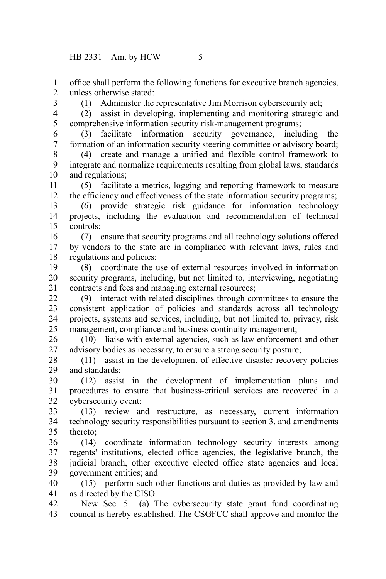office shall perform the following functions for executive branch agencies, unless otherwise stated: 1  $\mathcal{L}$ 

3

(1) Administer the representative Jim Morrison cybersecurity act;

- (2) assist in developing, implementing and monitoring strategic and comprehensive information security risk-management programs; 4 5
- (3) facilitate information security governance, including the formation of an information security steering committee or advisory board; 6 7
- (4) create and manage a unified and flexible control framework to integrate and normalize requirements resulting from global laws, standards and regulations; 8 9 10

(5) facilitate a metrics, logging and reporting framework to measure the efficiency and effectiveness of the state information security programs; 11 12

(6) provide strategic risk guidance for information technology projects, including the evaluation and recommendation of technical controls; 13 14 15

(7) ensure that security programs and all technology solutions offered by vendors to the state are in compliance with relevant laws, rules and regulations and policies; 16 17 18

(8) coordinate the use of external resources involved in information security programs, including, but not limited to, interviewing, negotiating contracts and fees and managing external resources; 19 20 21

(9) interact with related disciplines through committees to ensure the consistent application of policies and standards across all technology projects, systems and services, including, but not limited to, privacy, risk management, compliance and business continuity management; 22 23 24 25

(10) liaise with external agencies, such as law enforcement and other advisory bodies as necessary, to ensure a strong security posture; 26 27

(11) assist in the development of effective disaster recovery policies and standards; 28 29

(12) assist in the development of implementation plans and procedures to ensure that business-critical services are recovered in a cybersecurity event; 30 31 32

(13) review and restructure, as necessary, current information technology security responsibilities pursuant to section 3, and amendments thereto; 33 34 35

(14) coordinate information technology security interests among regents' institutions, elected office agencies, the legislative branch, the judicial branch, other executive elected office state agencies and local government entities; and 36 37 38 39

(15) perform such other functions and duties as provided by law and as directed by the CISO. 40 41

New Sec. 5. (a) The cybersecurity state grant fund coordinating council is hereby established. The CSGFCC shall approve and monitor the 42 43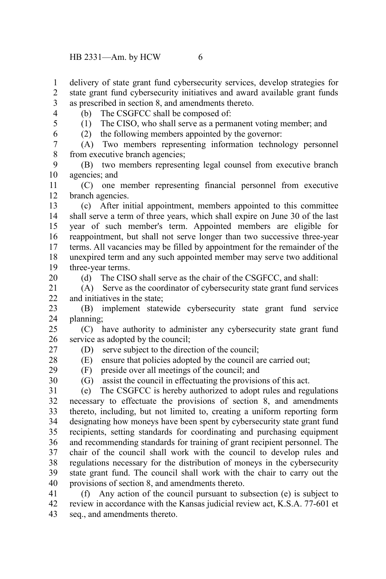delivery of state grant fund cybersecurity services, develop strategies for state grant fund cybersecurity initiatives and award available grant funds as prescribed in section 8, and amendments thereto. 1 2 3

4 5 (b) The CSGFCC shall be composed of: (1) The CISO, who shall serve as a permanent voting member; and

6

(2) the following members appointed by the governor:

(A) Two members representing information technology personnel from executive branch agencies; 7 8

(B) two members representing legal counsel from executive branch agencies; and 9 10

(C) one member representing financial personnel from executive branch agencies. 11 12

(c) After initial appointment, members appointed to this committee shall serve a term of three years, which shall expire on June 30 of the last year of such member's term. Appointed members are eligible for reappointment, but shall not serve longer than two successive three-year terms. All vacancies may be filled by appointment for the remainder of the unexpired term and any such appointed member may serve two additional three-year terms. 13 14 15 16 17 18 19

(d) The CISO shall serve as the chair of the CSGFCC, and shall:

(A) Serve as the coordinator of cybersecurity state grant fund services and initiatives in the state; 21 22

(B) implement statewide cybersecurity state grant fund service planning; 23 24

(C) have authority to administer any cybersecurity state grant fund service as adopted by the council; 25 26

27

20

28

(D) serve subject to the direction of the council; (E) ensure that policies adopted by the council are carried out;

29

(F) preside over all meetings of the council; and

30

(G) assist the council in effectuating the provisions of this act.

(e) The CSGFCC is hereby authorized to adopt rules and regulations necessary to effectuate the provisions of section 8, and amendments thereto, including, but not limited to, creating a uniform reporting form designating how moneys have been spent by cybersecurity state grant fund recipients, setting standards for coordinating and purchasing equipment and recommending standards for training of grant recipient personnel. The chair of the council shall work with the council to develop rules and regulations necessary for the distribution of moneys in the cybersecurity state grant fund. The council shall work with the chair to carry out the provisions of section 8, and amendments thereto. 31 32 33 34 35 36 37 38 39 40

(f) Any action of the council pursuant to subsection (e) is subject to review in accordance with the Kansas judicial review act, K.S.A. 77-601 et seq., and amendments thereto. 41 42 43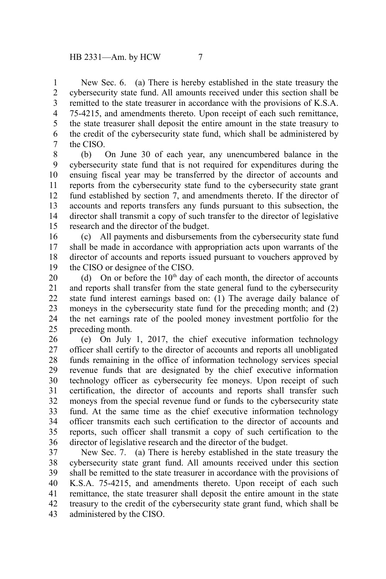New Sec. 6. (a) There is hereby established in the state treasury the cybersecurity state fund. All amounts received under this section shall be remitted to the state treasurer in accordance with the provisions of K.S.A. 75-4215, and amendments thereto. Upon receipt of each such remittance, the state treasurer shall deposit the entire amount in the state treasury to the credit of the cybersecurity state fund, which shall be administered by the CISO. 1 2 3 4 5 6 7

(b) On June 30 of each year, any unencumbered balance in the cybersecurity state fund that is not required for expenditures during the ensuing fiscal year may be transferred by the director of accounts and reports from the cybersecurity state fund to the cybersecurity state grant fund established by section 7, and amendments thereto. If the director of accounts and reports transfers any funds pursuant to this subsection, the director shall transmit a copy of such transfer to the director of legislative research and the director of the budget. 8 9 10 11 12 13 14 15

(c) All payments and disbursements from the cybersecurity state fund shall be made in accordance with appropriation acts upon warrants of the director of accounts and reports issued pursuant to vouchers approved by the CISO or designee of the CISO. 16 17 18 19

(d) On or before the  $10<sup>th</sup>$  day of each month, the director of accounts and reports shall transfer from the state general fund to the cybersecurity state fund interest earnings based on: (1) The average daily balance of moneys in the cybersecurity state fund for the preceding month; and (2) the net earnings rate of the pooled money investment portfolio for the preceding month. 20 21 22 23 24 25

(e) On July 1, 2017, the chief executive information technology officer shall certify to the director of accounts and reports all unobligated funds remaining in the office of information technology services special revenue funds that are designated by the chief executive information technology officer as cybersecurity fee moneys. Upon receipt of such certification, the director of accounts and reports shall transfer such moneys from the special revenue fund or funds to the cybersecurity state fund. At the same time as the chief executive information technology officer transmits each such certification to the director of accounts and reports, such officer shall transmit a copy of such certification to the director of legislative research and the director of the budget. 26 27 28 29 30 31 32 33 34 35 36

New Sec. 7. (a) There is hereby established in the state treasury the cybersecurity state grant fund. All amounts received under this section shall be remitted to the state treasurer in accordance with the provisions of K.S.A. 75-4215, and amendments thereto. Upon receipt of each such remittance, the state treasurer shall deposit the entire amount in the state treasury to the credit of the cybersecurity state grant fund, which shall be administered by the CISO. 37 38 39 40 41 42 43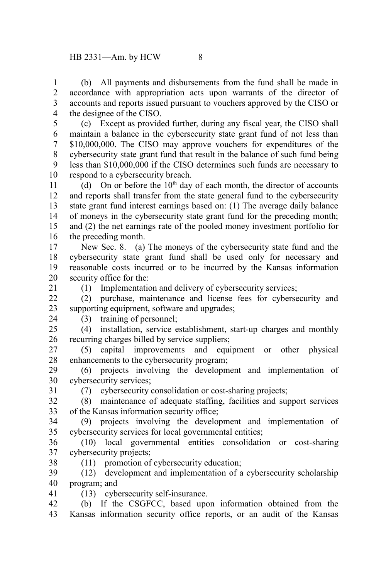(b) All payments and disbursements from the fund shall be made in accordance with appropriation acts upon warrants of the director of accounts and reports issued pursuant to vouchers approved by the CISO or the designee of the CISO. 1 2 3 4

(c) Except as provided further, during any fiscal year, the CISO shall maintain a balance in the cybersecurity state grant fund of not less than \$10,000,000. The CISO may approve vouchers for expenditures of the cybersecurity state grant fund that result in the balance of such fund being less than \$10,000,000 if the CISO determines such funds are necessary to respond to a cybersecurity breach. 5 6 7 8 9 10

(d) On or before the  $10<sup>th</sup>$  day of each month, the director of accounts and reports shall transfer from the state general fund to the cybersecurity state grant fund interest earnings based on: (1) The average daily balance of moneys in the cybersecurity state grant fund for the preceding month; and (2) the net earnings rate of the pooled money investment portfolio for the preceding month. 11 12 13 14 15 16

New Sec. 8. (a) The moneys of the cybersecurity state fund and the cybersecurity state grant fund shall be used only for necessary and reasonable costs incurred or to be incurred by the Kansas information security office for the: 17 18 19 20

(1) Implementation and delivery of cybersecurity services;

(2) purchase, maintenance and license fees for cybersecurity and supporting equipment, software and upgrades;  $22$ 23

24

21

(3) training of personnel;

(4) installation, service establishment, start-up charges and monthly recurring charges billed by service suppliers; 25 26

(5) capital improvements and equipment or other physical enhancements to the cybersecurity program; 27 28

(6) projects involving the development and implementation of cybersecurity services; 29 30 31

(7) cybersecurity consolidation or cost-sharing projects;

(8) maintenance of adequate staffing, facilities and support services of the Kansas information security office; 32 33

(9) projects involving the development and implementation of cybersecurity services for local governmental entities; 34 35

(10) local governmental entities consolidation or cost-sharing cybersecurity projects; 36 37

(11) promotion of cybersecurity education;

(12) development and implementation of a cybersecurity scholarship program; and 39 40

41

38

(13) cybersecurity self-insurance.

(b) If the CSGFCC, based upon information obtained from the Kansas information security office reports, or an audit of the Kansas 42 43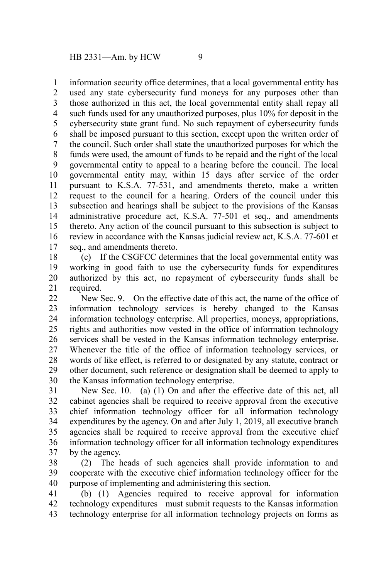information security office determines, that a local governmental entity has used any state cybersecurity fund moneys for any purposes other than those authorized in this act, the local governmental entity shall repay all such funds used for any unauthorized purposes, plus 10% for deposit in the cybersecurity state grant fund. No such repayment of cybersecurity funds shall be imposed pursuant to this section, except upon the written order of the council. Such order shall state the unauthorized purposes for which the funds were used, the amount of funds to be repaid and the right of the local governmental entity to appeal to a hearing before the council. The local governmental entity may, within 15 days after service of the order pursuant to K.S.A. 77-531, and amendments thereto, make a written request to the council for a hearing. Orders of the council under this subsection and hearings shall be subject to the provisions of the Kansas administrative procedure act, K.S.A. 77-501 et seq., and amendments thereto. Any action of the council pursuant to this subsection is subject to review in accordance with the Kansas judicial review act, K.S.A. 77-601 et seq., and amendments thereto. 1 2 3 4 5 6 7 8 9 10 11 12 13 14 15 16 17

(c) If the CSGFCC determines that the local governmental entity was working in good faith to use the cybersecurity funds for expenditures authorized by this act, no repayment of cybersecurity funds shall be required. 18 19 20 21

New Sec. 9. On the effective date of this act, the name of the office of information technology services is hereby changed to the Kansas information technology enterprise. All properties, moneys, appropriations, rights and authorities now vested in the office of information technology services shall be vested in the Kansas information technology enterprise. Whenever the title of the office of information technology services, or words of like effect, is referred to or designated by any statute, contract or other document, such reference or designation shall be deemed to apply to the Kansas information technology enterprise. 22 23 24 25 26 27 28 29 30

New Sec. 10. (a) (1) On and after the effective date of this act, all cabinet agencies shall be required to receive approval from the executive chief information technology officer for all information technology expenditures by the agency. On and after July 1, 2019, all executive branch agencies shall be required to receive approval from the executive chief information technology officer for all information technology expenditures by the agency. 31 32 33 34 35 36 37

(2) The heads of such agencies shall provide information to and cooperate with the executive chief information technology officer for the purpose of implementing and administering this section. 38 39 40

(b) (1) Agencies required to receive approval for information technology expenditures must submit requests to the Kansas information technology enterprise for all information technology projects on forms as 41 42 43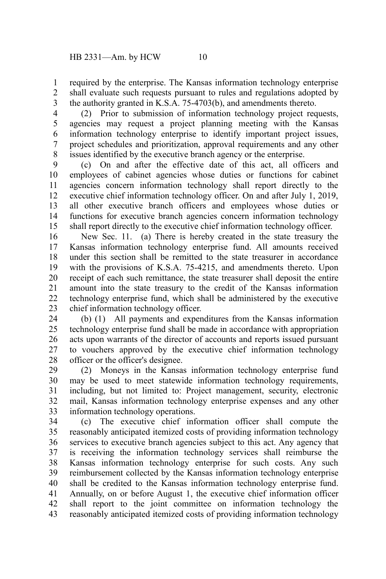required by the enterprise. The Kansas information technology enterprise shall evaluate such requests pursuant to rules and regulations adopted by the authority granted in K.S.A. 75-4703(b), and amendments thereto. 1 2 3

(2) Prior to submission of information technology project requests, agencies may request a project planning meeting with the Kansas information technology enterprise to identify important project issues, project schedules and prioritization, approval requirements and any other issues identified by the executive branch agency or the enterprise. 4 5 6 7 8

(c) On and after the effective date of this act, all officers and employees of cabinet agencies whose duties or functions for cabinet agencies concern information technology shall report directly to the executive chief information technology officer. On and after July 1, 2019, all other executive branch officers and employees whose duties or functions for executive branch agencies concern information technology shall report directly to the executive chief information technology officer. 9 10 11 12 13 14 15

New Sec. 11. (a) There is hereby created in the state treasury the Kansas information technology enterprise fund. All amounts received under this section shall be remitted to the state treasurer in accordance with the provisions of K.S.A. 75-4215, and amendments thereto. Upon receipt of each such remittance, the state treasurer shall deposit the entire amount into the state treasury to the credit of the Kansas information technology enterprise fund, which shall be administered by the executive chief information technology officer. 16 17 18 19 20 21 22 23

(b) (1) All payments and expenditures from the Kansas information technology enterprise fund shall be made in accordance with appropriation acts upon warrants of the director of accounts and reports issued pursuant to vouchers approved by the executive chief information technology officer or the officer's designee. 24 25 26 27 28

(2) Moneys in the Kansas information technology enterprise fund may be used to meet statewide information technology requirements, including, but not limited to: Project management, security, electronic mail, Kansas information technology enterprise expenses and any other information technology operations. 29 30 31 32 33

(c) The executive chief information officer shall compute the reasonably anticipated itemized costs of providing information technology services to executive branch agencies subject to this act. Any agency that is receiving the information technology services shall reimburse the Kansas information technology enterprise for such costs. Any such reimbursement collected by the Kansas information technology enterprise shall be credited to the Kansas information technology enterprise fund. Annually, on or before August 1, the executive chief information officer shall report to the joint committee on information technology the reasonably anticipated itemized costs of providing information technology 34 35 36 37 38 39 40 41 42 43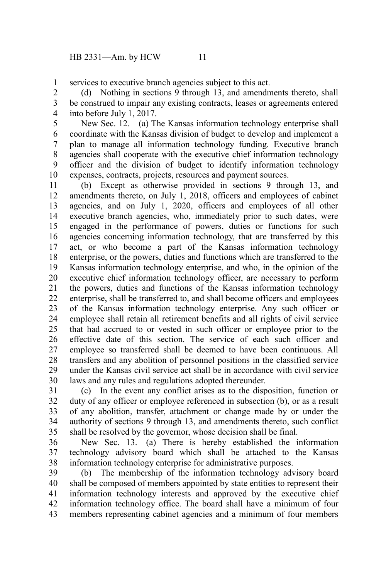services to executive branch agencies subject to this act. 1

(d) Nothing in sections 9 through 13, and amendments thereto, shall be construed to impair any existing contracts, leases or agreements entered into before July 1, 2017. 2 3 4

New Sec. 12. (a) The Kansas information technology enterprise shall coordinate with the Kansas division of budget to develop and implement a plan to manage all information technology funding. Executive branch agencies shall cooperate with the executive chief information technology officer and the division of budget to identify information technology expenses, contracts, projects, resources and payment sources. 5 6 7 8 9 10

(b) Except as otherwise provided in sections 9 through 13, and amendments thereto, on July 1, 2018, officers and employees of cabinet agencies, and on July 1, 2020, officers and employees of all other executive branch agencies, who, immediately prior to such dates, were engaged in the performance of powers, duties or functions for such agencies concerning information technology, that are transferred by this act, or who become a part of the Kansas information technology enterprise, or the powers, duties and functions which are transferred to the Kansas information technology enterprise, and who, in the opinion of the executive chief information technology officer, are necessary to perform the powers, duties and functions of the Kansas information technology enterprise, shall be transferred to, and shall become officers and employees of the Kansas information technology enterprise. Any such officer or employee shall retain all retirement benefits and all rights of civil service that had accrued to or vested in such officer or employee prior to the effective date of this section. The service of each such officer and employee so transferred shall be deemed to have been continuous. All transfers and any abolition of personnel positions in the classified service under the Kansas civil service act shall be in accordance with civil service laws and any rules and regulations adopted thereunder. 11 12 13 14 15 16 17 18 19 20 21 22 23 24 25 26 27 28 29 30

(c) In the event any conflict arises as to the disposition, function or duty of any officer or employee referenced in subsection (b), or as a result of any abolition, transfer, attachment or change made by or under the authority of sections 9 through 13, and amendments thereto, such conflict shall be resolved by the governor, whose decision shall be final. 31 32 33 34 35

New Sec. 13. (a) There is hereby established the information technology advisory board which shall be attached to the Kansas information technology enterprise for administrative purposes. 36 37 38

(b) The membership of the information technology advisory board shall be composed of members appointed by state entities to represent their information technology interests and approved by the executive chief information technology office. The board shall have a minimum of four members representing cabinet agencies and a minimum of four members 39 40 41 42 43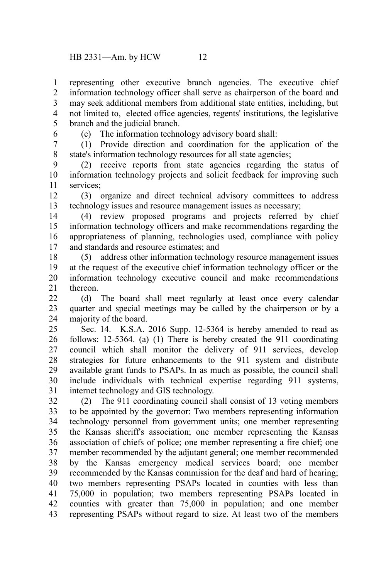representing other executive branch agencies. The executive chief information technology officer shall serve as chairperson of the board and may seek additional members from additional state entities, including, but not limited to, elected office agencies, regents' institutions, the legislative branch and the judicial branch. 1 2 3 4 5

6

(c) The information technology advisory board shall:

(1) Provide direction and coordination for the application of the state's information technology resources for all state agencies; 7 8

(2) receive reports from state agencies regarding the status of information technology projects and solicit feedback for improving such services; 9 10 11

(3) organize and direct technical advisory committees to address technology issues and resource management issues as necessary; 12 13

(4) review proposed programs and projects referred by chief information technology officers and make recommendations regarding the appropriateness of planning, technologies used, compliance with policy and standards and resource estimates; and 14 15 16 17

(5) address other information technology resource management issues at the request of the executive chief information technology officer or the information technology executive council and make recommendations thereon. 18 19 20 21

(d) The board shall meet regularly at least once every calendar quarter and special meetings may be called by the chairperson or by a majority of the board.  $22$ 23 24

Sec. 14. K.S.A. 2016 Supp. 12-5364 is hereby amended to read as follows: 12-5364. (a) (1) There is hereby created the 911 coordinating council which shall monitor the delivery of 911 services, develop strategies for future enhancements to the 911 system and distribute available grant funds to PSAPs. In as much as possible, the council shall include individuals with technical expertise regarding 911 systems, internet technology and GIS technology. 25 26 27 28 29 30 31

(2) The 911 coordinating council shall consist of 13 voting members to be appointed by the governor: Two members representing information technology personnel from government units; one member representing the Kansas sheriff's association; one member representing the Kansas association of chiefs of police; one member representing a fire chief; one member recommended by the adjutant general; one member recommended by the Kansas emergency medical services board; one member recommended by the Kansas commission for the deaf and hard of hearing; two members representing PSAPs located in counties with less than 75,000 in population; two members representing PSAPs located in counties with greater than 75,000 in population; and one member representing PSAPs without regard to size. At least two of the members 32 33 34 35 36 37 38 39 40 41 42 43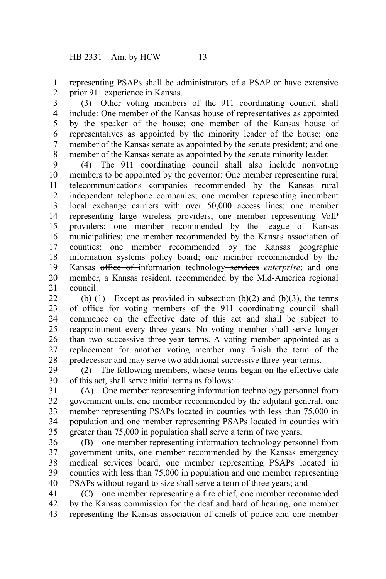representing PSAPs shall be administrators of a PSAP or have extensive prior 911 experience in Kansas. 1 2

(3) Other voting members of the 911 coordinating council shall include: One member of the Kansas house of representatives as appointed by the speaker of the house; one member of the Kansas house of representatives as appointed by the minority leader of the house; one member of the Kansas senate as appointed by the senate president; and one member of the Kansas senate as appointed by the senate minority leader. 3 4 5 6 7 8

(4) The 911 coordinating council shall also include nonvoting members to be appointed by the governor: One member representing rural telecommunications companies recommended by the Kansas rural independent telephone companies; one member representing incumbent local exchange carriers with over 50,000 access lines; one member representing large wireless providers; one member representing VoIP providers; one member recommended by the league of Kansas municipalities; one member recommended by the Kansas association of counties; one member recommended by the Kansas geographic information systems policy board; one member recommended by the Kansas office of information technology services *enterprise*; and one member, a Kansas resident, recommended by the Mid-America regional council. 9 10 11 12 13 14 15 16 17 18 19 20 21

(b) (1) Except as provided in subsection (b)(2) and (b)(3), the terms of office for voting members of the 911 coordinating council shall commence on the effective date of this act and shall be subject to reappointment every three years. No voting member shall serve longer than two successive three-year terms. A voting member appointed as a replacement for another voting member may finish the term of the predecessor and may serve two additional successive three-year terms.  $22$ 23 24 25 26 27 28

(2) The following members, whose terms began on the effective date of this act, shall serve initial terms as follows: 29 30

(A) One member representing information technology personnel from government units, one member recommended by the adjutant general, one member representing PSAPs located in counties with less than 75,000 in population and one member representing PSAPs located in counties with greater than 75,000 in population shall serve a term of two years; 31 32 33 34 35

(B) one member representing information technology personnel from government units, one member recommended by the Kansas emergency medical services board, one member representing PSAPs located in counties with less than 75,000 in population and one member representing PSAPs without regard to size shall serve a term of three years; and 36 37 38 39 40

(C) one member representing a fire chief, one member recommended by the Kansas commission for the deaf and hard of hearing, one member representing the Kansas association of chiefs of police and one member 41 42 43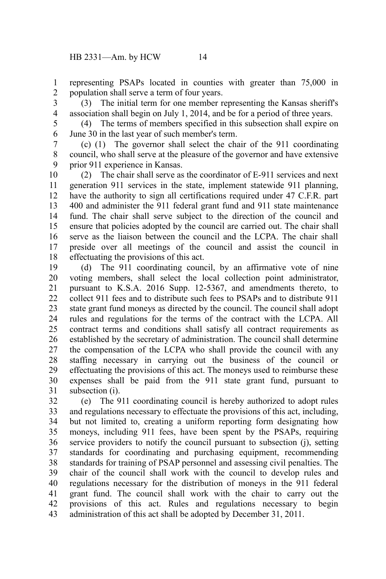representing PSAPs located in counties with greater than 75,000 in population shall serve a term of four years. 1 2

(3) The initial term for one member representing the Kansas sheriff's association shall begin on July 1, 2014, and be for a period of three years. 3 4

5 6

(4) The terms of members specified in this subsection shall expire on June 30 in the last year of such member's term.

(c) (1) The governor shall select the chair of the 911 coordinating council, who shall serve at the pleasure of the governor and have extensive prior 911 experience in Kansas. 7 8 9

(2) The chair shall serve as the coordinator of E-911 services and next generation 911 services in the state, implement statewide 911 planning, have the authority to sign all certifications required under 47 C.F.R. part 400 and administer the 911 federal grant fund and 911 state maintenance fund. The chair shall serve subject to the direction of the council and ensure that policies adopted by the council are carried out. The chair shall serve as the liaison between the council and the LCPA. The chair shall preside over all meetings of the council and assist the council in effectuating the provisions of this act. 10 11 12 13 14 15 16 17 18

(d) The 911 coordinating council, by an affirmative vote of nine voting members, shall select the local collection point administrator, pursuant to K.S.A. 2016 Supp. 12-5367, and amendments thereto, to collect 911 fees and to distribute such fees to PSAPs and to distribute 911 state grant fund moneys as directed by the council. The council shall adopt rules and regulations for the terms of the contract with the LCPA. All contract terms and conditions shall satisfy all contract requirements as established by the secretary of administration. The council shall determine the compensation of the LCPA who shall provide the council with any staffing necessary in carrying out the business of the council or effectuating the provisions of this act. The moneys used to reimburse these expenses shall be paid from the 911 state grant fund, pursuant to subsection (i). 19 20 21 22 23 24 25 26 27 28 29 30 31

(e) The 911 coordinating council is hereby authorized to adopt rules and regulations necessary to effectuate the provisions of this act, including, but not limited to, creating a uniform reporting form designating how moneys, including 911 fees, have been spent by the PSAPs, requiring service providers to notify the council pursuant to subsection (j), setting standards for coordinating and purchasing equipment, recommending standards for training of PSAP personnel and assessing civil penalties. The chair of the council shall work with the council to develop rules and regulations necessary for the distribution of moneys in the 911 federal grant fund. The council shall work with the chair to carry out the provisions of this act. Rules and regulations necessary to begin administration of this act shall be adopted by December 31, 2011. 32 33 34 35 36 37 38 39 40 41 42 43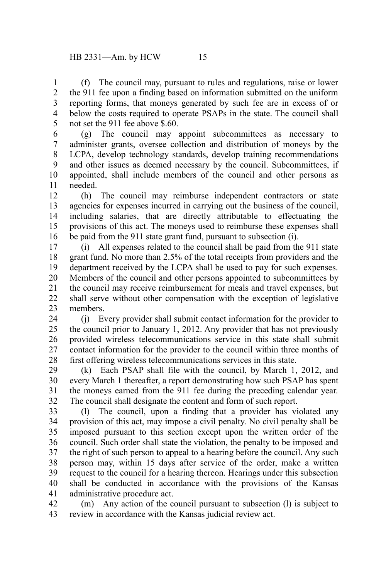(f) The council may, pursuant to rules and regulations, raise or lower the 911 fee upon a finding based on information submitted on the uniform reporting forms, that moneys generated by such fee are in excess of or below the costs required to operate PSAPs in the state. The council shall not set the 911 fee above \$.60. 1 2 3 4 5

(g) The council may appoint subcommittees as necessary to administer grants, oversee collection and distribution of moneys by the LCPA, develop technology standards, develop training recommendations and other issues as deemed necessary by the council. Subcommittees, if appointed, shall include members of the council and other persons as needed. 6 7 8 9 10 11

(h) The council may reimburse independent contractors or state agencies for expenses incurred in carrying out the business of the council, including salaries, that are directly attributable to effectuating the provisions of this act. The moneys used to reimburse these expenses shall be paid from the 911 state grant fund, pursuant to subsection (i). 12 13 14 15 16

(i) All expenses related to the council shall be paid from the 911 state grant fund. No more than 2.5% of the total receipts from providers and the department received by the LCPA shall be used to pay for such expenses. Members of the council and other persons appointed to subcommittees by the council may receive reimbursement for meals and travel expenses, but shall serve without other compensation with the exception of legislative members. 17 18 19 20 21 22 23

(j) Every provider shall submit contact information for the provider to the council prior to January 1, 2012. Any provider that has not previously provided wireless telecommunications service in this state shall submit contact information for the provider to the council within three months of first offering wireless telecommunications services in this state. 24 25 26 27 28

(k) Each PSAP shall file with the council, by March 1, 2012, and every March 1 thereafter, a report demonstrating how such PSAP has spent the moneys earned from the 911 fee during the preceding calendar year. The council shall designate the content and form of such report. 29 30 31 32

(l) The council, upon a finding that a provider has violated any provision of this act, may impose a civil penalty. No civil penalty shall be imposed pursuant to this section except upon the written order of the council. Such order shall state the violation, the penalty to be imposed and the right of such person to appeal to a hearing before the council. Any such person may, within 15 days after service of the order, make a written request to the council for a hearing thereon. Hearings under this subsection shall be conducted in accordance with the provisions of the Kansas administrative procedure act. 33 34 35 36 37 38 39 40 41

(m) Any action of the council pursuant to subsection (l) is subject to review in accordance with the Kansas judicial review act. 42 43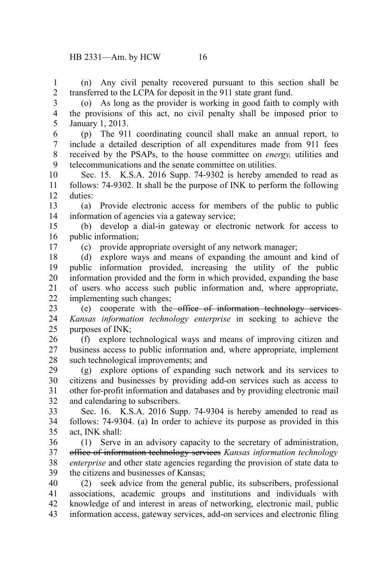(n) Any civil penalty recovered pursuant to this section shall be transferred to the LCPA for deposit in the 911 state grant fund. 1 2

(o) As long as the provider is working in good faith to comply with the provisions of this act, no civil penalty shall be imposed prior to January 1, 2013. 3 4 5

(p) The 911 coordinating council shall make an annual report, to include a detailed description of all expenditures made from 911 fees received by the PSAPs, to the house committee on *energy,* utilities and telecommunications and the senate committee on utilities. 6 7 8 9

Sec. 15. K.S.A. 2016 Supp. 74-9302 is hereby amended to read as follows: 74-9302. It shall be the purpose of INK to perform the following duties: 10 11 12

(a) Provide electronic access for members of the public to public information of agencies via a gateway service; 13 14

(b) develop a dial-in gateway or electronic network for access to public information; 15 16

17

(c) provide appropriate oversight of any network manager;

(d) explore ways and means of expanding the amount and kind of public information provided, increasing the utility of the public information provided and the form in which provided, expanding the base of users who access such public information and, where appropriate, implementing such changes; 18 19 20 21 22

(e) cooperate with the office of information technology services *Kansas information technology enterprise* in seeking to achieve the purposes of INK; 23 24 25

(f) explore technological ways and means of improving citizen and business access to public information and, where appropriate, implement such technological improvements; and 26 27 28

(g) explore options of expanding such network and its services to citizens and businesses by providing add-on services such as access to other for-profit information and databases and by providing electronic mail and calendaring to subscribers. 29 30 31 32

Sec. 16. K.S.A. 2016 Supp. 74-9304 is hereby amended to read as follows: 74-9304. (a) In order to achieve its purpose as provided in this act, INK shall: 33 34 35

(1) Serve in an advisory capacity to the secretary of administration, office of information technology services *Kansas information technology enterprise* and other state agencies regarding the provision of state data to the citizens and businesses of Kansas; 36 37 38 39

(2) seek advice from the general public, its subscribers, professional associations, academic groups and institutions and individuals with knowledge of and interest in areas of networking, electronic mail, public information access, gateway services, add-on services and electronic filing 40 41 42 43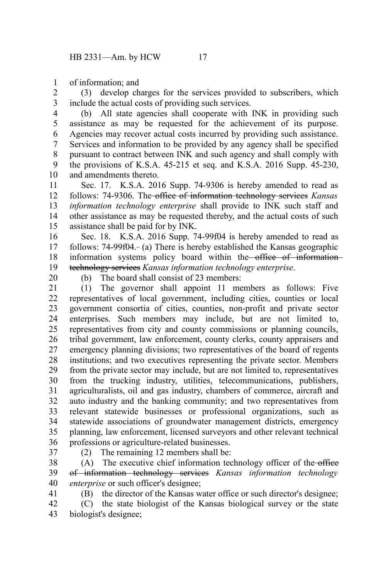of information; and 1

(3) develop charges for the services provided to subscribers, which include the actual costs of providing such services. 2 3

(b) All state agencies shall cooperate with INK in providing such assistance as may be requested for the achievement of its purpose. Agencies may recover actual costs incurred by providing such assistance. Services and information to be provided by any agency shall be specified pursuant to contract between INK and such agency and shall comply with the provisions of K.S.A. 45-215 et seq. and K.S.A. 2016 Supp. 45-230, and amendments thereto. 4 5 6 7 8 9 10

Sec. 17. K.S.A. 2016 Supp. 74-9306 is hereby amended to read as follows: 74-9306. The office of information technology services *Kansas information technology enterprise* shall provide to INK such staff and other assistance as may be requested thereby, and the actual costs of such assistance shall be paid for by INK. 11 12 13 14 15

Sec. 18. K.S.A. 2016 Supp. 74-99f04 is hereby amended to read as follows: 74-99f04.- (a) There is hereby established the Kansas geographic information systems policy board within the office of informationtechnology services *Kansas information technology enterprise*. 16 17 18 19

20

(b) The board shall consist of 23 members:

(1) The governor shall appoint 11 members as follows: Five representatives of local government, including cities, counties or local government consortia of cities, counties, non-profit and private sector enterprises. Such members may include, but are not limited to, representatives from city and county commissions or planning councils, tribal government, law enforcement, county clerks, county appraisers and emergency planning divisions; two representatives of the board of regents institutions; and two executives representing the private sector. Members from the private sector may include, but are not limited to, representatives from the trucking industry, utilities, telecommunications, publishers, agriculturalists, oil and gas industry, chambers of commerce, aircraft and auto industry and the banking community; and two representatives from relevant statewide businesses or professional organizations, such as statewide associations of groundwater management districts, emergency planning, law enforcement, licensed surveyors and other relevant technical professions or agriculture-related businesses. 21 22 23 24 25 26 27 28 29 30 31 32 33 34 35 36

37

(2) The remaining 12 members shall be:

 $(A)$  The executive chief information technology officer of the office of information technology services *Kansas information technology enterprise* or such officer's designee; 38 39 40

41

(B) the director of the Kansas water office or such director's designee;

(C) the state biologist of the Kansas biological survey or the state biologist's designee; 42 43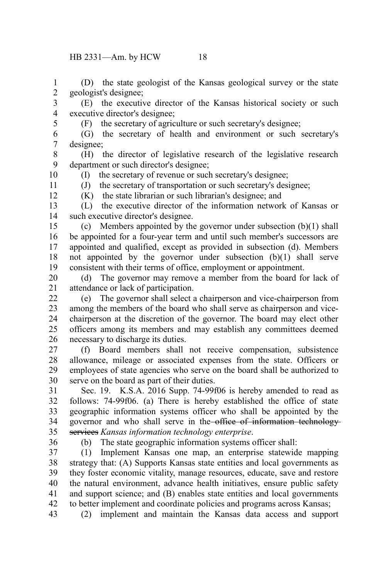(D) the state geologist of the Kansas geological survey or the state geologist's designee; 1 2

(E) the executive director of the Kansas historical society or such executive director's designee; 3 4

5

(F) the secretary of agriculture or such secretary's designee;

(G) the secretary of health and environment or such secretary's designee; 6 7

(H) the director of legislative research of the legislative research department or such director's designee; 8 9

(I) the secretary of revenue or such secretary's designee;

10 11 12

(J) the secretary of transportation or such secretary's designee; (K) the state librarian or such librarian's designee; and

(L) the executive director of the information network of Kansas or such executive director's designee. 13 14

(c) Members appointed by the governor under subsection (b)(1) shall be appointed for a four-year term and until such member's successors are appointed and qualified, except as provided in subsection (d). Members not appointed by the governor under subsection (b)(1) shall serve consistent with their terms of office, employment or appointment. 15 16 17 18 19

(d) The governor may remove a member from the board for lack of attendance or lack of participation. 20 21

(e) The governor shall select a chairperson and vice-chairperson from among the members of the board who shall serve as chairperson and vicechairperson at the discretion of the governor. The board may elect other officers among its members and may establish any committees deemed necessary to discharge its duties.  $22$ 23 24 25 26

(f) Board members shall not receive compensation, subsistence allowance, mileage or associated expenses from the state. Officers or employees of state agencies who serve on the board shall be authorized to serve on the board as part of their duties. 27 28 29 30

Sec. 19. K.S.A. 2016 Supp. 74-99f06 is hereby amended to read as follows: 74-99f06. (a) There is hereby established the office of state geographic information systems officer who shall be appointed by the governor and who shall serve in the office of information technology services *Kansas information technology enterprise*. 31 32 33 34 35

36

(b) The state geographic information systems officer shall:

(1) Implement Kansas one map, an enterprise statewide mapping strategy that: (A) Supports Kansas state entities and local governments as they foster economic vitality, manage resources, educate, save and restore the natural environment, advance health initiatives, ensure public safety and support science; and (B) enables state entities and local governments to better implement and coordinate policies and programs across Kansas; 37 38 39 40 41 42

(2) implement and maintain the Kansas data access and support 43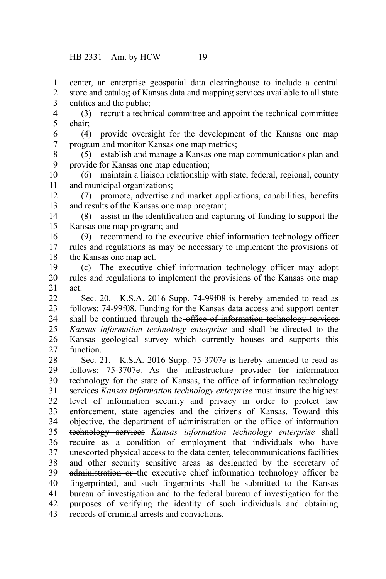center, an enterprise geospatial data clearinghouse to include a central store and catalog of Kansas data and mapping services available to all state entities and the public; 1 2 3

(3) recruit a technical committee and appoint the technical committee chair; 4 5

(4) provide oversight for the development of the Kansas one map program and monitor Kansas one map metrics; 6 7

(5) establish and manage a Kansas one map communications plan and provide for Kansas one map education; 8 9

(6) maintain a liaison relationship with state, federal, regional, county and municipal organizations; 10 11

(7) promote, advertise and market applications, capabilities, benefits and results of the Kansas one map program; 12 13

(8) assist in the identification and capturing of funding to support the Kansas one map program; and 14 15

(9) recommend to the executive chief information technology officer rules and regulations as may be necessary to implement the provisions of the Kansas one map act. 16 17 18

(c) The executive chief information technology officer may adopt rules and regulations to implement the provisions of the Kansas one map act. 19 20 21

Sec. 20. K.S.A. 2016 Supp. 74-99f08 is hereby amended to read as follows: 74-99f08. Funding for the Kansas data access and support center shall be continued through the office of information technology services *Kansas information technology enterprise* and shall be directed to the Kansas geological survey which currently houses and supports this function.  $22$ 23 24 25 26 27

Sec. 21. K.S.A. 2016 Supp. 75-3707e is hereby amended to read as follows: 75-3707e. As the infrastructure provider for information technology for the state of Kansas, the office of information technology services *Kansas information technology enterprise* must insure the highest level of information security and privacy in order to protect law enforcement, state agencies and the citizens of Kansas. Toward this objective, the department of administration or the office of information technology services *Kansas information technology enterprise* shall require as a condition of employment that individuals who have unescorted physical access to the data center, telecommunications facilities and other security sensitive areas as designated by the secretary of administration or the executive chief information technology officer be fingerprinted, and such fingerprints shall be submitted to the Kansas bureau of investigation and to the federal bureau of investigation for the purposes of verifying the identity of such individuals and obtaining records of criminal arrests and convictions. 28 29 30 31 32 33 34 35 36 37 38 39 40 41 42 43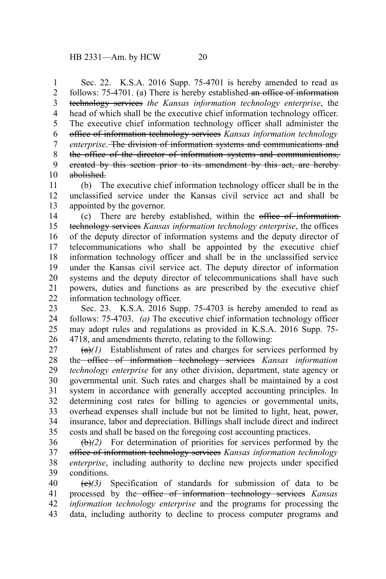Sec. 22. K.S.A. 2016 Supp. 75-4701 is hereby amended to read as follows: 75-4701. (a) There is hereby established an office of information technology services *the Kansas information technology enterprise*, the head of which shall be the executive chief information technology officer. The executive chief information technology officer shall administer the office of information technology services *Kansas information technology enterprise*. The division of information systems and communications and the office of the director of information systems and communications, created by this section prior to its amendment by this act, are hereby abolished. 1 2 3 4 5 6 7 8 9 10

(b) The executive chief information technology officer shall be in the unclassified service under the Kansas civil service act and shall be appointed by the governor. 11 12 13

(c) There are hereby established, within the office of information technology services *Kansas information technology enterprise*, the offices of the deputy director of information systems and the deputy director of telecommunications who shall be appointed by the executive chief information technology officer and shall be in the unclassified service under the Kansas civil service act. The deputy director of information systems and the deputy director of telecommunications shall have such powers, duties and functions as are prescribed by the executive chief information technology officer. 14 15 16 17 18 19 20 21 22

Sec. 23. K.S.A. 2016 Supp. 75-4703 is hereby amended to read as follows: 75-4703. *(a)* The executive chief information technology officer may adopt rules and regulations as provided in K.S.A. 2016 Supp. 75- 4718, and amendments thereto, relating to the following: 23 24 25 26

 $\left(\frac{a}{a}\right)$  Establishment of rates and charges for services performed by the office of information technology services *Kansas information technology enterprise* for any other division, department, state agency or governmental unit. Such rates and charges shall be maintained by a cost system in accordance with generally accepted accounting principles. In determining cost rates for billing to agencies or governmental units, overhead expenses shall include but not be limited to light, heat, power, insurance, labor and depreciation. Billings shall include direct and indirect costs and shall be based on the foregoing cost accounting practices. 27 28 29 30 31 32 33 34 35

(b)*(2)* For determination of priorities for services performed by the office of information technology services *Kansas information technology enterprise*, including authority to decline new projects under specified conditions. 36 37 38 39

(c)*(3)* Specification of standards for submission of data to be processed by the office of information technology services *Kansas information technology enterprise* and the programs for processing the data, including authority to decline to process computer programs and 40 41 42 43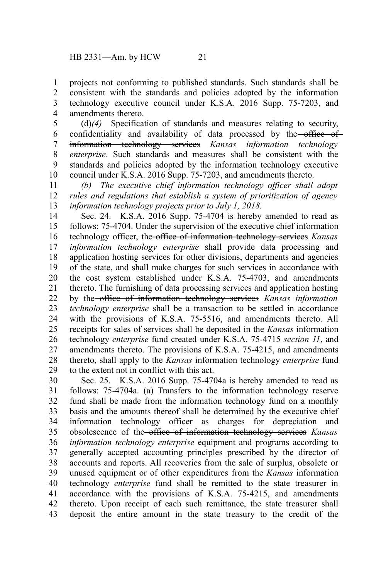projects not conforming to published standards. Such standards shall be consistent with the standards and policies adopted by the information technology executive council under K.S.A. 2016 Supp. 75-7203, and amendments thereto. 1 2 3 4

(d)*(4)* Specification of standards and measures relating to security, confidentiality and availability of data processed by the office of information technology services *Kansas information technology enterprise*. Such standards and measures shall be consistent with the standards and policies adopted by the information technology executive council under K.S.A. 2016 Supp. 75-7203, and amendments thereto. 5 6 7 8 9 10

*(b) The executive chief information technology officer shall adopt rules and regulations that establish a system of prioritization of agency information technology projects prior to July 1, 2018.*  11 12 13

Sec. 24. K.S.A. 2016 Supp. 75-4704 is hereby amended to read as follows: 75-4704. Under the supervision of the executive chief information technology officer, the office of information technology services *Kansas information technology enterprise* shall provide data processing and application hosting services for other divisions, departments and agencies of the state, and shall make charges for such services in accordance with the cost system established under K.S.A. 75-4703, and amendments thereto. The furnishing of data processing services and application hosting by the office of information technology services *Kansas information technology enterprise* shall be a transaction to be settled in accordance with the provisions of K.S.A. 75-5516, and amendments thereto. All receipts for sales of services shall be deposited in the *Kansas* information technology *enterprise* fund created under K.S.A. 75-4715 *section 11*, and amendments thereto. The provisions of K.S.A. 75-4215, and amendments thereto, shall apply to the *Kansas* information technology *enterprise* fund to the extent not in conflict with this act. 14 15 16 17 18 19 20 21 22 23 24 25 26 27 28 29

Sec. 25. K.S.A. 2016 Supp. 75-4704a is hereby amended to read as follows: 75-4704a. (a) Transfers to the information technology reserve fund shall be made from the information technology fund on a monthly basis and the amounts thereof shall be determined by the executive chief information technology officer as charges for depreciation and obsolescence of the office of information technology services *Kansas information technology enterprise* equipment and programs according to generally accepted accounting principles prescribed by the director of accounts and reports. All recoveries from the sale of surplus, obsolete or unused equipment or of other expenditures from the *Kansas* information technology *enterprise* fund shall be remitted to the state treasurer in accordance with the provisions of K.S.A. 75-4215, and amendments thereto. Upon receipt of each such remittance, the state treasurer shall deposit the entire amount in the state treasury to the credit of the 30 31 32 33 34 35 36 37 38 39 40 41 42 43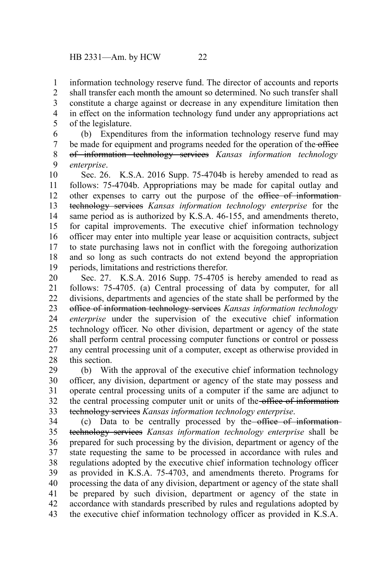information technology reserve fund. The director of accounts and reports shall transfer each month the amount so determined. No such transfer shall constitute a charge against or decrease in any expenditure limitation then in effect on the information technology fund under any appropriations act of the legislature. 1 2 3 4 5

(b) Expenditures from the information technology reserve fund may be made for equipment and programs needed for the operation of the office of information technology services *Kansas information technology enterprise*. 6 7 8 9

Sec. 26. K.S.A. 2016 Supp. 75-4704b is hereby amended to read as follows: 75-4704b. Appropriations may be made for capital outlay and other expenses to carry out the purpose of the office of informationtechnology services *Kansas information technology enterprise* for the same period as is authorized by K.S.A. 46-155, and amendments thereto, for capital improvements. The executive chief information technology officer may enter into multiple year lease or acquisition contracts, subject to state purchasing laws not in conflict with the foregoing authorization and so long as such contracts do not extend beyond the appropriation periods, limitations and restrictions therefor. 10 11 12 13 14 15 16 17 18 19

Sec. 27. K.S.A. 2016 Supp. 75-4705 is hereby amended to read as follows: 75-4705. (a) Central processing of data by computer, for all divisions, departments and agencies of the state shall be performed by the office of information technology services *Kansas information technology enterprise* under the supervision of the executive chief information technology officer. No other division, department or agency of the state shall perform central processing computer functions or control or possess any central processing unit of a computer, except as otherwise provided in this section. 20 21 22 23 24 25 26 27 28

(b) With the approval of the executive chief information technology officer, any division, department or agency of the state may possess and operate central processing units of a computer if the same are adjunct to the central processing computer unit or units of the office of information technology services *Kansas information technology enterprise*. 29 30 31 32 33

(c) Data to be centrally processed by the office of information technology services *Kansas information technology enterprise* shall be prepared for such processing by the division, department or agency of the state requesting the same to be processed in accordance with rules and regulations adopted by the executive chief information technology officer as provided in K.S.A. 75-4703, and amendments thereto. Programs for processing the data of any division, department or agency of the state shall be prepared by such division, department or agency of the state in accordance with standards prescribed by rules and regulations adopted by the executive chief information technology officer as provided in K.S.A. 34 35 36 37 38 39 40 41 42 43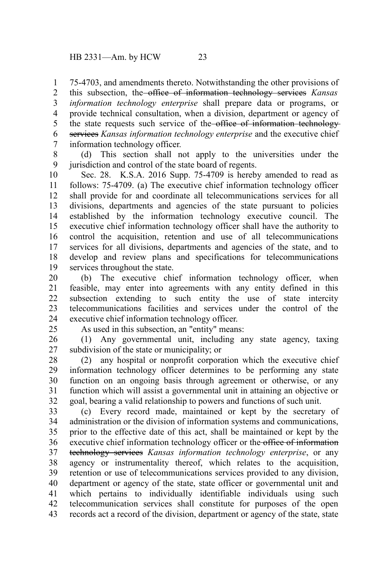75-4703, and amendments thereto. Notwithstanding the other provisions of this subsection, the office of information technology services *Kansas information technology enterprise* shall prepare data or programs, or provide technical consultation, when a division, department or agency of the state requests such service of the office of information technologyservices *Kansas information technology enterprise* and the executive chief 1 2 3 4 5 6

information technology officer. 7

(d) This section shall not apply to the universities under the jurisdiction and control of the state board of regents. 8 9

Sec. 28. K.S.A. 2016 Supp. 75-4709 is hereby amended to read as follows: 75-4709. (a) The executive chief information technology officer shall provide for and coordinate all telecommunications services for all divisions, departments and agencies of the state pursuant to policies established by the information technology executive council. The executive chief information technology officer shall have the authority to control the acquisition, retention and use of all telecommunications services for all divisions, departments and agencies of the state, and to develop and review plans and specifications for telecommunications services throughout the state. 10 11 12 13 14 15 16 17 18 19

(b) The executive chief information technology officer, when feasible, may enter into agreements with any entity defined in this subsection extending to such entity the use of state intercity telecommunications facilities and services under the control of the executive chief information technology officer. 20 21 22 23 24

25

As used in this subsection, an "entity" means:

(1) Any governmental unit, including any state agency, taxing subdivision of the state or municipality; or 26 27

(2) any hospital or nonprofit corporation which the executive chief information technology officer determines to be performing any state function on an ongoing basis through agreement or otherwise, or any function which will assist a governmental unit in attaining an objective or goal, bearing a valid relationship to powers and functions of such unit. 28 29 30 31 32

(c) Every record made, maintained or kept by the secretary of administration or the division of information systems and communications, prior to the effective date of this act, shall be maintained or kept by the executive chief information technology officer or the office of information technology services *Kansas information technology enterprise*, or any agency or instrumentality thereof, which relates to the acquisition, retention or use of telecommunications services provided to any division, department or agency of the state, state officer or governmental unit and which pertains to individually identifiable individuals using such telecommunication services shall constitute for purposes of the open records act a record of the division, department or agency of the state, state 33 34 35 36 37 38 39 40 41 42 43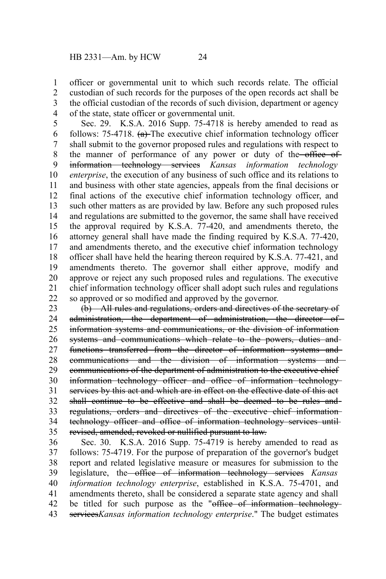officer or governmental unit to which such records relate. The official custodian of such records for the purposes of the open records act shall be the official custodian of the records of such division, department or agency of the state, state officer or governmental unit. 1 2 3 4

Sec. 29. K.S.A. 2016 Supp. 75-4718 is hereby amended to read as follows:  $75-4718$ .  $(a)$  The executive chief information technology officer shall submit to the governor proposed rules and regulations with respect to the manner of performance of any power or duty of the office of information technology services *Kansas information technology enterprise*, the execution of any business of such office and its relations to and business with other state agencies, appeals from the final decisions or final actions of the executive chief information technology officer, and such other matters as are provided by law. Before any such proposed rules and regulations are submitted to the governor, the same shall have received the approval required by K.S.A. 77-420, and amendments thereto, the attorney general shall have made the finding required by K.S.A. 77-420, and amendments thereto, and the executive chief information technology officer shall have held the hearing thereon required by K.S.A. 77-421, and amendments thereto. The governor shall either approve, modify and approve or reject any such proposed rules and regulations. The executive chief information technology officer shall adopt such rules and regulations so approved or so modified and approved by the governor. 5 6 7 8 9 10 11 12 13 14 15 16 17 18 19 20 21 22

(b) All rules and regulations, orders and directives of the secretary of administration, the department of administration, the director of information systems and communications, or the division of information systems and communications which relate to the powers, duties and functions transferred from the director of information systems and communications and the division of information systems and communications of the department of administration to the executive chief information technology officer and office of information technology services by this act and which are in effect on the effective date of this act shall continue to be effective and shall be deemed to be rules andregulations, orders and directives of the executive chief information technology officer and office of information technology services until revised, amended, revoked or nullified pursuant to law. 23 24 25 26 27 28 29 30 31 32 33 34 35

Sec. 30. K.S.A. 2016 Supp. 75-4719 is hereby amended to read as follows: 75-4719. For the purpose of preparation of the governor's budget report and related legislative measure or measures for submission to the legislature, the office of information technology services *Kansas information technology enterprise*, established in K.S.A. 75-4701, and amendments thereto, shall be considered a separate state agency and shall be titled for such purpose as the "office of information technologyservices*Kansas information technology enterprise*." The budget estimates 36 37 38 39 40 41 42 43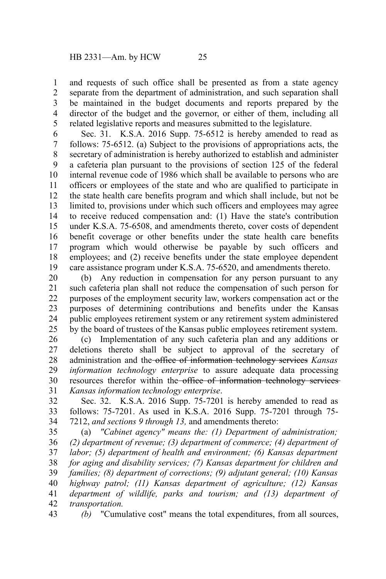and requests of such office shall be presented as from a state agency separate from the department of administration, and such separation shall be maintained in the budget documents and reports prepared by the director of the budget and the governor, or either of them, including all related legislative reports and measures submitted to the legislature. 1 2 3 4 5

Sec. 31. K.S.A. 2016 Supp. 75-6512 is hereby amended to read as follows: 75-6512. (a) Subject to the provisions of appropriations acts, the secretary of administration is hereby authorized to establish and administer a cafeteria plan pursuant to the provisions of section 125 of the federal internal revenue code of 1986 which shall be available to persons who are officers or employees of the state and who are qualified to participate in the state health care benefits program and which shall include, but not be limited to, provisions under which such officers and employees may agree to receive reduced compensation and: (1) Have the state's contribution under K.S.A. 75-6508, and amendments thereto, cover costs of dependent benefit coverage or other benefits under the state health care benefits program which would otherwise be payable by such officers and employees; and (2) receive benefits under the state employee dependent care assistance program under K.S.A. 75-6520, and amendments thereto. 6 7 8 9 10 11 12 13 14 15 16 17 18 19

(b) Any reduction in compensation for any person pursuant to any such cafeteria plan shall not reduce the compensation of such person for purposes of the employment security law, workers compensation act or the purposes of determining contributions and benefits under the Kansas public employees retirement system or any retirement system administered by the board of trustees of the Kansas public employees retirement system. 20 21 22 23 24 25

(c) Implementation of any such cafeteria plan and any additions or deletions thereto shall be subject to approval of the secretary of administration and the office of information technology services *Kansas information technology enterprise* to assure adequate data processing resources therefor within the office of information technology services *Kansas information technology enterprise*. 26 27 28 29 30 31

Sec. 32. K.S.A. 2016 Supp. 75-7201 is hereby amended to read as follows: 75-7201. As used in K.S.A. 2016 Supp. 75-7201 through 75- 7212, *and sections 9 through 13,* and amendments thereto: 32 33 34

(a) *"Cabinet agency" means the: (1) Department of administration; (2) department of revenue; (3) department of commerce; (4) department of labor; (5) department of health and environment; (6) Kansas department for aging and disability services; (7) Kansas department for children and families; (8) department of corrections; (9) adjutant general; (10) Kansas highway patrol; (11) Kansas department of agriculture; (12) Kansas department of wildlife, parks and tourism; and (13) department of transportation.* 35 36 37 38 39 40 41 42

*(b)* "Cumulative cost" means the total expenditures, from all sources, 43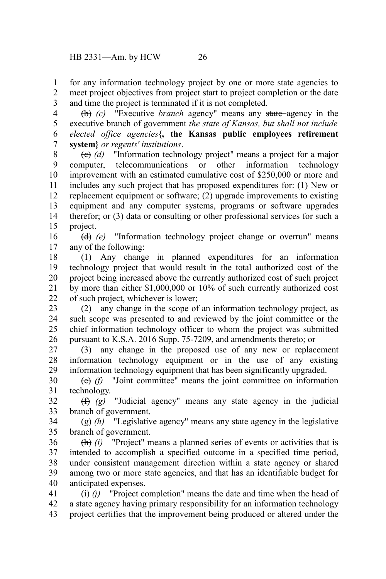for any information technology project by one or more state agencies to meet project objectives from project start to project completion or the date and time the project is terminated if it is not completed. 1 2 3

(b) *(c)* "Executive *branch* agency" means any state agency in the executive branch of government *the state of Kansas, but shall not include elected office agencies***{, the Kansas public employees retirement system}** *or regents' institutions*. 4 5 6 7

(c) *(d)* "Information technology project" means a project for a major computer, telecommunications or other information technology improvement with an estimated cumulative cost of \$250,000 or more and includes any such project that has proposed expenditures for: (1) New or replacement equipment or software; (2) upgrade improvements to existing equipment and any computer systems, programs or software upgrades therefor; or (3) data or consulting or other professional services for such a project. 8 9 10 11 12 13 14 15

(d) *(e)* "Information technology project change or overrun" means any of the following: 16 17

(1) Any change in planned expenditures for an information technology project that would result in the total authorized cost of the project being increased above the currently authorized cost of such project by more than either \$1,000,000 or 10% of such currently authorized cost of such project, whichever is lower; 18 19 20 21 22

(2) any change in the scope of an information technology project, as such scope was presented to and reviewed by the joint committee or the chief information technology officer to whom the project was submitted pursuant to K.S.A. 2016 Supp. 75-7209, and amendments thereto; or 23 24 25 26

(3) any change in the proposed use of any new or replacement information technology equipment or in the use of any existing information technology equipment that has been significantly upgraded. 27 28 29

(e) *(f)* "Joint committee" means the joint committee on information technology. 30 31

(f) *(g)* "Judicial agency" means any state agency in the judicial branch of government. 32 33

(g) *(h)* "Legislative agency" means any state agency in the legislative branch of government. 34 35

(h) *(i)* "Project" means a planned series of events or activities that is intended to accomplish a specified outcome in a specified time period, under consistent management direction within a state agency or shared among two or more state agencies, and that has an identifiable budget for anticipated expenses. 36 37 38 39 40

 $(i)$  (i) "Project completion" means the date and time when the head of a state agency having primary responsibility for an information technology project certifies that the improvement being produced or altered under the 41 42 43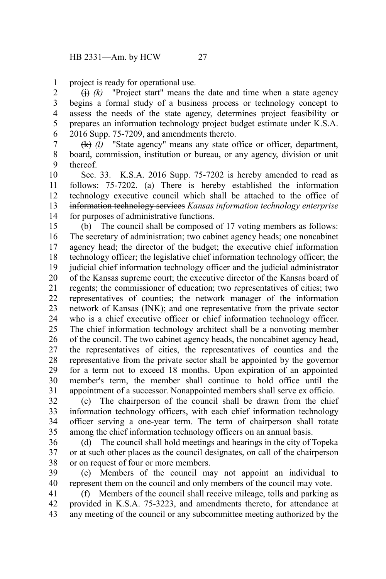project is ready for operational use. 1

 $\leftrightarrow$  (i) *(k)* "Project start" means the date and time when a state agency begins a formal study of a business process or technology concept to assess the needs of the state agency, determines project feasibility or prepares an information technology project budget estimate under K.S.A. 2016 Supp. 75-7209, and amendments thereto. 2 3 4 5 6

(k) *(l)* "State agency" means any state office or officer, department, board, commission, institution or bureau, or any agency, division or unit thereof. 7 8 9

Sec. 33. K.S.A. 2016 Supp. 75-7202 is hereby amended to read as follows: 75-7202. (a) There is hereby established the information technology executive council which shall be attached to the office of information technology services *Kansas information technology enterprise* for purposes of administrative functions. 10 11 12 13 14

(b) The council shall be composed of 17 voting members as follows: The secretary of administration; two cabinet agency heads; one noncabinet agency head; the director of the budget; the executive chief information technology officer; the legislative chief information technology officer; the judicial chief information technology officer and the judicial administrator of the Kansas supreme court; the executive director of the Kansas board of regents; the commissioner of education; two representatives of cities; two representatives of counties; the network manager of the information network of Kansas (INK); and one representative from the private sector who is a chief executive officer or chief information technology officer. The chief information technology architect shall be a nonvoting member of the council. The two cabinet agency heads, the noncabinet agency head, the representatives of cities, the representatives of counties and the representative from the private sector shall be appointed by the governor for a term not to exceed 18 months. Upon expiration of an appointed member's term, the member shall continue to hold office until the appointment of a successor. Nonappointed members shall serve ex officio. 15 16 17 18 19 20 21 22 23 24 25 26 27 28 29 30 31

(c) The chairperson of the council shall be drawn from the chief information technology officers, with each chief information technology officer serving a one-year term. The term of chairperson shall rotate among the chief information technology officers on an annual basis. 32 33 34 35

(d) The council shall hold meetings and hearings in the city of Topeka or at such other places as the council designates, on call of the chairperson or on request of four or more members. 36 37 38

(e) Members of the council may not appoint an individual to represent them on the council and only members of the council may vote. 39 40

(f) Members of the council shall receive mileage, tolls and parking as provided in K.S.A. 75-3223, and amendments thereto, for attendance at any meeting of the council or any subcommittee meeting authorized by the 41 42 43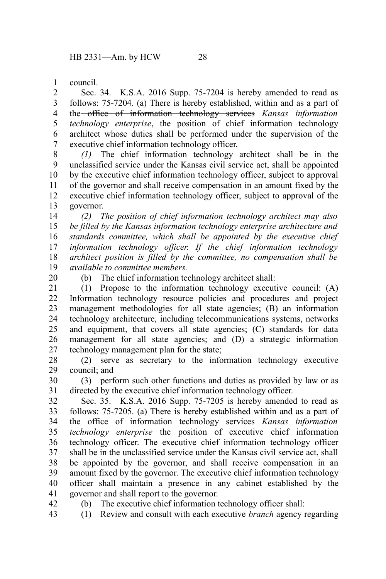council. 1

Sec. 34. K.S.A. 2016 Supp. 75-7204 is hereby amended to read as follows: 75-7204. (a) There is hereby established, within and as a part of the office of information technology services *Kansas information technology enterprise*, the position of chief information technology architect whose duties shall be performed under the supervision of the executive chief information technology officer. 2 3 4 5 6 7

*(1)* The chief information technology architect shall be in the unclassified service under the Kansas civil service act, shall be appointed by the executive chief information technology officer, subject to approval of the governor and shall receive compensation in an amount fixed by the executive chief information technology officer, subject to approval of the governor. 8 9 10 11 12 13

*(2) The position of chief information technology architect may also be filled by the Kansas information technology enterprise architecture and standards committee, which shall be appointed by the executive chief information technology officer. If the chief information technology architect position is filled by the committee, no compensation shall be available to committee members.* 14 15 16 17 18 19

20

42

(b) The chief information technology architect shall:

(1) Propose to the information technology executive council: (A) Information technology resource policies and procedures and project management methodologies for all state agencies; (B) an information technology architecture, including telecommunications systems, networks and equipment, that covers all state agencies; (C) standards for data management for all state agencies; and (D) a strategic information technology management plan for the state; 21 22 23 24 25 26 27

(2) serve as secretary to the information technology executive council; and 28 29

(3) perform such other functions and duties as provided by law or as directed by the executive chief information technology officer. 30 31

Sec. 35. K.S.A. 2016 Supp. 75-7205 is hereby amended to read as follows: 75-7205. (a) There is hereby established within and as a part of the office of information technology services *Kansas information technology enterprise* the position of executive chief information technology officer. The executive chief information technology officer shall be in the unclassified service under the Kansas civil service act, shall be appointed by the governor, and shall receive compensation in an amount fixed by the governor. The executive chief information technology officer shall maintain a presence in any cabinet established by the governor and shall report to the governor. 32 33 34 35 36 37 38 39 40 41

(b) The executive chief information technology officer shall:

(1) Review and consult with each executive *branch* agency regarding 43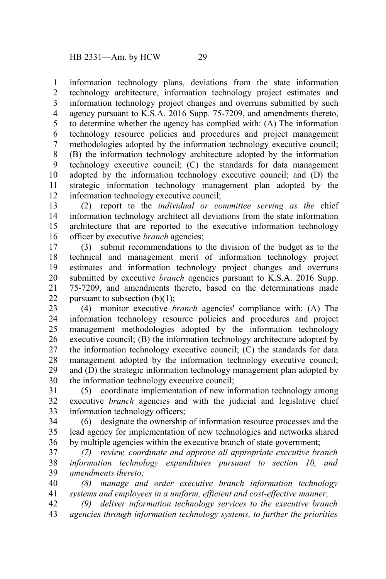information technology plans, deviations from the state information technology architecture, information technology project estimates and information technology project changes and overruns submitted by such agency pursuant to K.S.A. 2016 Supp. 75-7209, and amendments thereto, to determine whether the agency has complied with: (A) The information technology resource policies and procedures and project management methodologies adopted by the information technology executive council; (B) the information technology architecture adopted by the information technology executive council; (C) the standards for data management adopted by the information technology executive council; and (D) the strategic information technology management plan adopted by the information technology executive council; 1 2 3 4 5 6 7 8 9 10 11 12

(2) report to the *individual or committee serving as the* chief information technology architect all deviations from the state information architecture that are reported to the executive information technology officer by executive *branch* agencies; 13 14 15 16

(3) submit recommendations to the division of the budget as to the technical and management merit of information technology project estimates and information technology project changes and overruns submitted by executive *branch* agencies pursuant to K.S.A. 2016 Supp. 75-7209, and amendments thereto, based on the determinations made pursuant to subsection  $(b)(1)$ ; 17 18 19 20 21 22

(4) monitor executive *branch* agencies' compliance with: (A) The information technology resource policies and procedures and project management methodologies adopted by the information technology executive council; (B) the information technology architecture adopted by the information technology executive council; (C) the standards for data management adopted by the information technology executive council; and (D) the strategic information technology management plan adopted by the information technology executive council; 23 24 25 26 27 28 29 30

(5) coordinate implementation of new information technology among executive *branch* agencies and with the judicial and legislative chief information technology officers; 31 32 33

(6) designate the ownership of information resource processes and the lead agency for implementation of new technologies and networks shared by multiple agencies within the executive branch of state government; 34 35 36

*(7) review, coordinate and approve all appropriate executive branch information technology expenditures pursuant to section 10, and amendments thereto;* 37 38 39

*(8) manage and order executive branch information technology systems and employees in a uniform, efficient and cost-effective manner;* 40 41

*(9) deliver information technology services to the executive branch agencies through information technology systems, to further the priorities* 42 43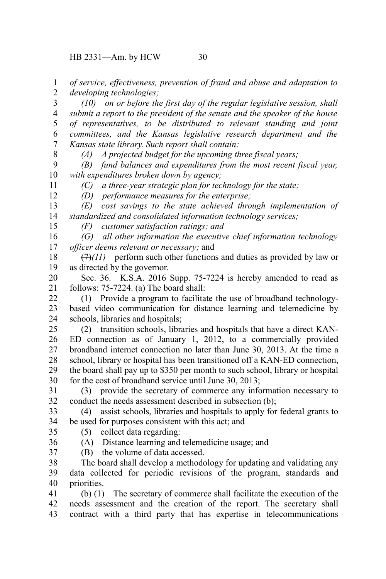HB 2331—Am. by HCW 30

*of service, effectiveness, prevention of fraud and abuse and adaptation to developing technologies;*  1 2

*(10) on or before the first day of the regular legislative session, shall submit a report to the president of the senate and the speaker of the house of representatives, to be distributed to relevant standing and joint committees, and the Kansas legislative research department and the Kansas state library. Such report shall contain:* 3 4 5 6 7 8

*(A) A projected budget for the upcoming three fiscal years;*

*(B) fund balances and expenditures from the most recent fiscal year, with expenditures broken down by agency;* 9

*(C) a three-year strategic plan for technology for the state;*

*(D) performance measures for the enterprise;*

*(E) cost savings to the state achieved through implementation of standardized and consolidated information technology services;* 13 14

*(F) customer satisfaction ratings; and*

*(G) all other information the executive chief information technology officer deems relevant or necessary;* and 16 17

 $(7)(11)$  perform such other functions and duties as provided by law or as directed by the governor. 18 19

Sec. 36. K.S.A. 2016 Supp. 75-7224 is hereby amended to read as follows: 75-7224. (a) The board shall: 20 21

(1) Provide a program to facilitate the use of broadband technologybased video communication for distance learning and telemedicine by schools, libraries and hospitals;  $22$ 23 24

(2) transition schools, libraries and hospitals that have a direct KAN-ED connection as of January 1, 2012, to a commercially provided broadband internet connection no later than June 30, 2013. At the time a school, library or hospital has been transitioned off a KAN-ED connection, the board shall pay up to \$350 per month to such school, library or hospital for the cost of broadband service until June 30, 2013; 25 26 27 28 29 30

(3) provide the secretary of commerce any information necessary to conduct the needs assessment described in subsection (b); 31 32

(4) assist schools, libraries and hospitals to apply for federal grants to be used for purposes consistent with this act; and 33 34

(5) collect data regarding: 35

(A) Distance learning and telemedicine usage; and

(B) the volume of data accessed. 37

The board shall develop a methodology for updating and validating any data collected for periodic revisions of the program, standards and priorities. 38 39 40

(b) (1) The secretary of commerce shall facilitate the execution of the needs assessment and the creation of the report. The secretary shall contract with a third party that has expertise in telecommunications 41 42 43

10 11

12

15

36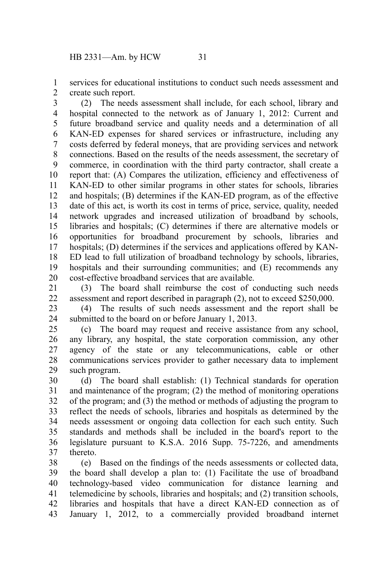services for educational institutions to conduct such needs assessment and create such report. 1 2

(2) The needs assessment shall include, for each school, library and hospital connected to the network as of January 1, 2012: Current and future broadband service and quality needs and a determination of all KAN-ED expenses for shared services or infrastructure, including any costs deferred by federal moneys, that are providing services and network connections. Based on the results of the needs assessment, the secretary of commerce, in coordination with the third party contractor, shall create a report that: (A) Compares the utilization, efficiency and effectiveness of KAN-ED to other similar programs in other states for schools, libraries and hospitals; (B) determines if the KAN-ED program, as of the effective date of this act, is worth its cost in terms of price, service, quality, needed network upgrades and increased utilization of broadband by schools, libraries and hospitals; (C) determines if there are alternative models or opportunities for broadband procurement by schools, libraries and hospitals; (D) determines if the services and applications offered by KAN-ED lead to full utilization of broadband technology by schools, libraries, hospitals and their surrounding communities; and (E) recommends any cost-effective broadband services that are available. 3 4 5 6 7 8 9 10 11 12 13 14 15 16 17 18 19 20

(3) The board shall reimburse the cost of conducting such needs assessment and report described in paragraph (2), not to exceed \$250,000. 21 22

(4) The results of such needs assessment and the report shall be submitted to the board on or before January 1, 2013. 23 24

(c) The board may request and receive assistance from any school, any library, any hospital, the state corporation commission, any other agency of the state or any telecommunications, cable or other communications services provider to gather necessary data to implement such program. 25 26 27 28 29

(d) The board shall establish: (1) Technical standards for operation and maintenance of the program; (2) the method of monitoring operations of the program; and (3) the method or methods of adjusting the program to reflect the needs of schools, libraries and hospitals as determined by the needs assessment or ongoing data collection for each such entity. Such standards and methods shall be included in the board's report to the legislature pursuant to K.S.A. 2016 Supp. 75-7226, and amendments thereto. 30 31 32 33 34 35 36 37

(e) Based on the findings of the needs assessments or collected data, the board shall develop a plan to: (1) Facilitate the use of broadband technology-based video communication for distance learning and telemedicine by schools, libraries and hospitals; and (2) transition schools, libraries and hospitals that have a direct KAN-ED connection as of January 1, 2012, to a commercially provided broadband internet 38 39 40 41 42 43